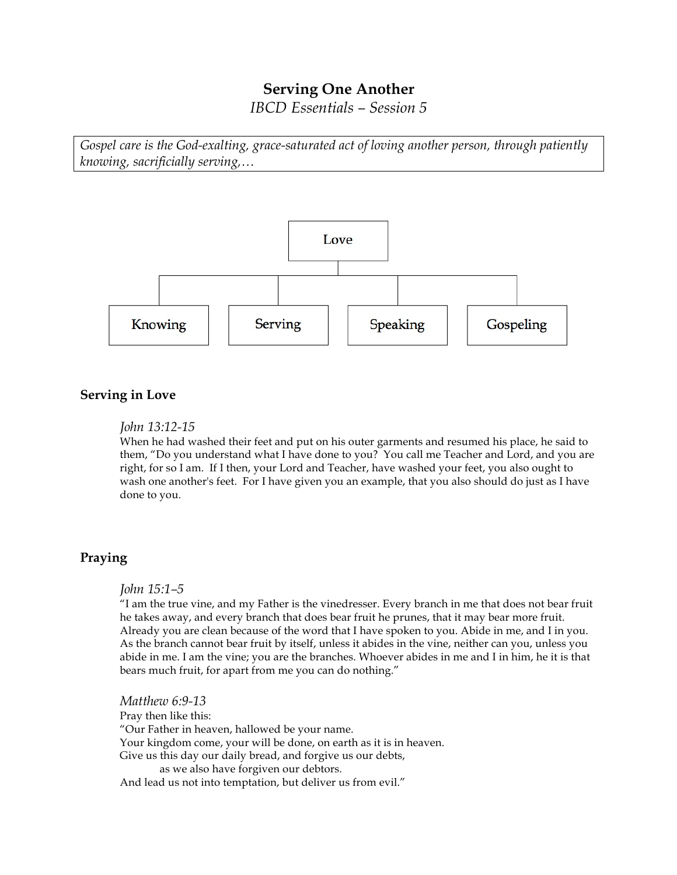# **Serving One Another**

*IBCD Essentials – Session 5*

*Gospel care is the God-exalting, grace-saturated act of loving another person, through patiently knowing, sacrificially serving,…*



# **Serving in Love**

## *John 13:12-15*

When he had washed their feet and put on his outer garments and resumed his place, he said to them, "Do you understand what I have done to you? You call me Teacher and Lord, and you are right, for so I am. If I then, your Lord and Teacher, have washed your feet, you also ought to wash one another's feet. For I have given you an example, that you also should do just as I have done to you.

## **Praying**

## *John 15:1–5*

"I am the true vine, and my Father is the vinedresser. Every branch in me that does not bear fruit he takes away, and every branch that does bear fruit he prunes, that it may bear more fruit. Already you are clean because of the word that I have spoken to you. Abide in me, and I in you. As the branch cannot bear fruit by itself, unless it abides in the vine, neither can you, unless you abide in me. I am the vine; you are the branches. Whoever abides in me and I in him, he it is that bears much fruit, for apart from me you can do nothing."

*Matthew 6:9-13* Pray then like this: "Our Father in heaven, hallowed be your name. Your kingdom come, your will be done, on earth as it is in heaven. Give us this day our daily bread, and forgive us our debts, as we also have forgiven our debtors. And lead us not into temptation, but deliver us from evil."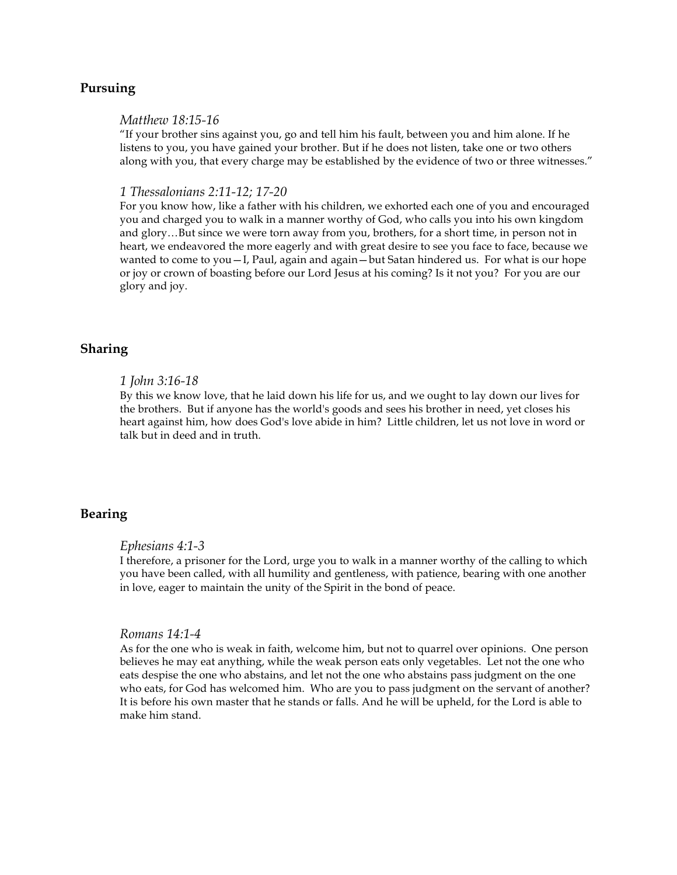# **Pursuing**

#### *Matthew 18:15-16*

"If your brother sins against you, go and tell him his fault, between you and him alone. If he listens to you, you have gained your brother. But if he does not listen, take one or two others along with you, that every charge may be established by the evidence of two or three witnesses."

#### *1 Thessalonians 2:11-12; 17-20*

For you know how, like a father with his children, we exhorted each one of you and encouraged you and charged you to walk in a manner worthy of God, who calls you into his own kingdom and glory…But since we were torn away from you, brothers, for a short time, in person not in heart, we endeavored the more eagerly and with great desire to see you face to face, because we wanted to come to you  $-I$ , Paul, again and again  $-b$ ut Satan hindered us. For what is our hope or joy or crown of boasting before our Lord Jesus at his coming? Is it not you? For you are our glory and joy.

## **Sharing**

## *1 John 3:16-18*

By this we know love, that he laid down his life for us, and we ought to lay down our lives for the brothers. But if anyone has the world's goods and sees his brother in need, yet closes his heart against him, how does God's love abide in him? Little children, let us not love in word or talk but in deed and in truth.

## **Bearing**

## *Ephesians 4:1-3*

I therefore, a prisoner for the Lord, urge you to walk in a manner worthy of the calling to which you have been called, with all humility and gentleness, with patience, bearing with one another in love, eager to maintain the unity of the Spirit in the bond of peace.

### *Romans 14:1-4*

As for the one who is weak in faith, welcome him, but not to quarrel over opinions. One person believes he may eat anything, while the weak person eats only vegetables. Let not the one who eats despise the one who abstains, and let not the one who abstains pass judgment on the one who eats, for God has welcomed him. Who are you to pass judgment on the servant of another? It is before his own master that he stands or falls. And he will be upheld, for the Lord is able to make him stand.